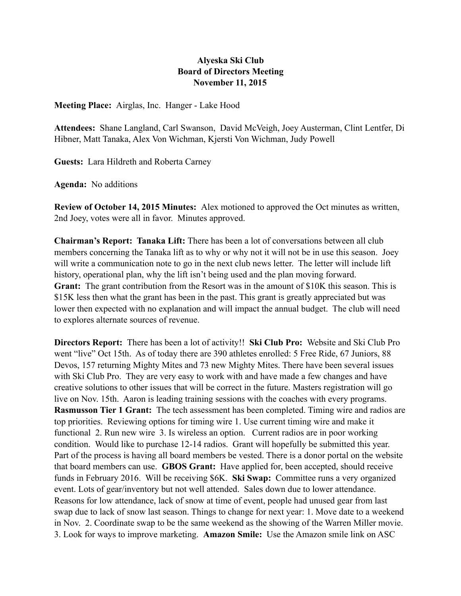## **Alyeska Ski Club Board of Directors Meeting November 11, 2015**

**Meeting Place:** Airglas, Inc. Hanger - Lake Hood

**Attendees:** Shane Langland, Carl Swanson, David McVeigh, Joey Austerman, Clint Lentfer, Di Hibner, Matt Tanaka, Alex Von Wichman, Kjersti Von Wichman, Judy Powell

**Guests:** Lara Hildreth and Roberta Carney

**Agenda:** No additions

**Review of October 14, 2015 Minutes:** Alex motioned to approved the Oct minutes as written, 2nd Joey, votes were all in favor. Minutes approved.

**Chairman's Report: Tanaka Lift:** There has been a lot of conversations between all club members concerning the Tanaka lift as to why or why not it will not be in use this season. Joey will write a communication note to go in the next club news letter. The letter will include lift history, operational plan, why the lift isn't being used and the plan moving forward. Grant: The grant contribution from the Resort was in the amount of \$10K this season. This is \$15K less then what the grant has been in the past. This grant is greatly appreciated but was lower then expected with no explanation and will impact the annual budget. The club will need to explores alternate sources of revenue.

**Directors Report:** There has been a lot of activity!! **Ski Club Pro:** Website and Ski Club Pro went "live" Oct 15th. As of today there are 390 athletes enrolled: 5 Free Ride, 67 Juniors, 88 Devos, 157 returning Mighty Mites and 73 new Mighty Mites. There have been several issues with Ski Club Pro. They are very easy to work with and have made a few changes and have creative solutions to other issues that will be correct in the future. Masters registration will go live on Nov. 15th. Aaron is leading training sessions with the coaches with every programs. **Rasmusson Tier 1 Grant:** The tech assessment has been completed. Timing wire and radios are top priorities. Reviewing options for timing wire 1. Use current timing wire and make it functional 2. Run new wire 3. Is wireless an option. Current radios are in poor working condition. Would like to purchase 12-14 radios. Grant will hopefully be submitted this year. Part of the process is having all board members be vested. There is a donor portal on the website that board members can use. **GBOS Grant:** Have applied for, been accepted, should receive funds in February 2016. Will be receiving \$6K. **Ski Swap:** Committee runs a very organized event. Lots of gear/inventory but not well attended. Sales down due to lower attendance. Reasons for low attendance, lack of snow at time of event, people had unused gear from last swap due to lack of snow last season. Things to change for next year: 1. Move date to a weekend in Nov. 2. Coordinate swap to be the same weekend as the showing of the Warren Miller movie. 3. Look for ways to improve marketing. **Amazon Smile:** Use the Amazon smile link on ASC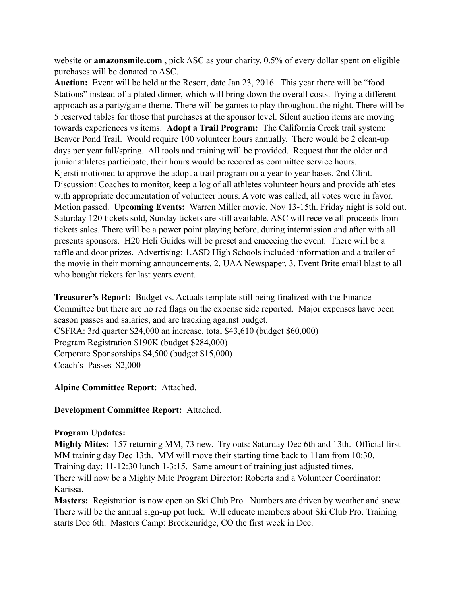website or **[amazonsmile.com](http://amazonsmile.com)**, pick ASC as your charity, 0.5% of every dollar spent on eligible purchases will be donated to ASC.

**Auction:** Event will be held at the Resort, date Jan 23, 2016. This year there will be "food Stations" instead of a plated dinner, which will bring down the overall costs. Trying a different approach as a party/game theme. There will be games to play throughout the night. There will be 5 reserved tables for those that purchases at the sponsor level. Silent auction items are moving towards experiences vs items. **Adopt a Trail Program:** The California Creek trail system: Beaver Pond Trail. Would require 100 volunteer hours annually. There would be 2 clean-up days per year fall/spring. All tools and training will be provided. Request that the older and junior athletes participate, their hours would be recored as committee service hours. Kjersti motioned to approve the adopt a trail program on a year to year bases. 2nd Clint. Discussion: Coaches to monitor, keep a log of all athletes volunteer hours and provide athletes with appropriate documentation of volunteer hours. A vote was called, all votes were in favor. Motion passed. **Upcoming Events:** Warren Miller movie, Nov 13-15th. Friday night is sold out. Saturday 120 tickets sold, Sunday tickets are still available. ASC will receive all proceeds from tickets sales. There will be a power point playing before, during intermission and after with all presents sponsors. H20 Heli Guides will be preset and emceeing the event. There will be a raffle and door prizes. Advertising: 1.ASD High Schools included information and a trailer of the movie in their morning announcements. 2. UAA Newspaper. 3. Event Brite email blast to all who bought tickets for last years event.

**Treasurer's Report:** Budget vs. Actuals template still being finalized with the Finance Committee but there are no red flags on the expense side reported. Major expenses have been season passes and salaries, and are tracking against budget. CSFRA: 3rd quarter \$24,000 an increase. total \$43,610 (budget \$60,000) Program Registration \$190K (budget \$284,000) Corporate Sponsorships \$4,500 (budget \$15,000) Coach's Passes \$2,000

**Alpine Committee Report:** Attached.

**Development Committee Report:** Attached.

## **Program Updates:**

**Mighty Mites:** 157 returning MM, 73 new. Try outs: Saturday Dec 6th and 13th. Official first MM training day Dec 13th. MM will move their starting time back to 11am from 10:30. Training day: 11-12:30 lunch 1-3:15. Same amount of training just adjusted times. There will now be a Mighty Mite Program Director: Roberta and a Volunteer Coordinator: Karissa.

**Masters:** Registration is now open on Ski Club Pro. Numbers are driven by weather and snow. There will be the annual sign-up pot luck. Will educate members about Ski Club Pro. Training starts Dec 6th. Masters Camp: Breckenridge, CO the first week in Dec.